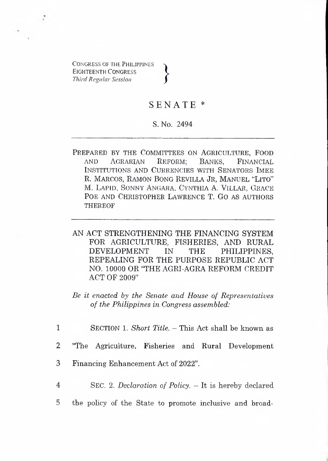CONGRESS OF THE PHILIPPINES Eighteenth Congress *Third Regular Session* **}**

## SENATE \*

## S. No. 2494

- PREPARED BY THE COMMITTEES ON AGRICULTURE, FOOD AND AGRARIAN REFORM: BANKS. FINANCIAL AND Agrarian Reform; Banks, Financial Institutions and Currencies with Senators Imee R. MARCOS, RAMON BONG REVILLA JR, MANUEL "LITO" M. LAPID. SONNY ANGARA, CYNTHIA A. VILLAR, GRACE Poe and Christopher Lawrence T. G<sup>o</sup> as authors **THEREOF**
- AN ACT STRENGTHENING THE FINANCING SYSTEM FOR AGRICULTURE, FISHERIES, AND RURAL<br>DEVELOPMENT IN THE PHILIPPINES DEVELOPMENT IN THE PHILIPPINES, REPEALING FOR THE PURPOSE REPUBLIC ACT NO. 10000 OR "THE AGRI-AGRA REFORM CREDIT ACT OF 2009"

*Be it enacted by the Senate and House of Representatives of the Philippines in Congress assembled:*

1 Section l. *Short Title. —* This Act shall be known as

2 "The Agriculture, Fisheries and Rural Development

- 3 Financing Enhancement Act of 2022".
- 4 Sec. 2. *Declaration of Policy. —* It is hereby declared
- 5 the policy of the State to promote inclusive and broad-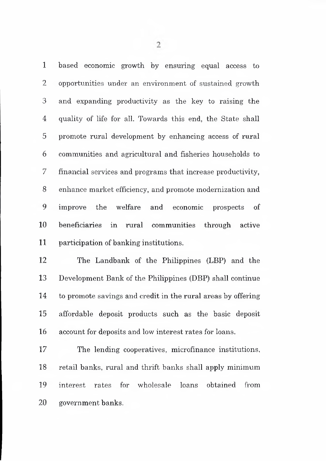based economic growth by ensuring equal access to 2 opportunities under an environment of sustained growth and expanding productivity as the key to raising the 4 quality of life for all. Towards this end, the State shall promote rural development by enhancing access of rural communities and agricultural and fisheries households to 7 financial services and programs that increase productivity, enhance market efficiency, and promote modernization and improve the welfare and economic prospects of beneficiaries in rural communities through active participation of banking institutions.

 The Landbank of the Philippines (LBP) and the Development Bank of the Philippines (DBP) shall continue to promote savings and credit in the rural areas by offering affordable deposit products such as the basic deposit account for deposits and low interest rates for loans.

 The lending cooperatives, microfinance institutions, retail banks, rural and thrift banks shall apply minimum interest rates for wholesale loans obtained from government banks.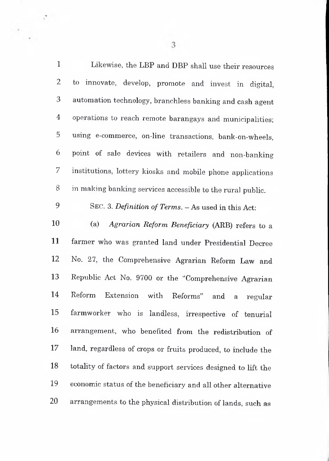| 1              | Likewise, the LBP and DBP shall use their resources           |
|----------------|---------------------------------------------------------------|
| $\overline{2}$ | to -<br>innovate, develop, promote and invest in digital,     |
| 3              | automation technology, branchless banking and cash agent      |
| 4              | operations to reach remote barangays and municipalities;      |
| 5              | using e-commerce, on-line transactions, bank-on-wheels,       |
| 6              | point of sale devices with retailers and non-banking          |
| 7              | institutions, lottery kiosks and mobile phone applications    |
| 8              | in making banking services accessible to the rural public.    |
| 9              | SEC. 3. Definition of Terms. - As used in this Act:           |
| 10             | (a)<br>Agrarian Reform Beneficiary (ARB) refers to a          |
| 11             | farmer who was granted land under Presidential Decree         |
| 12             | No. 27, the Comprehensive Agrarian Reform Law and             |
| 13             | Republic Act No. 9700 or the "Comprehensive Agrarian          |
| 14             | Reform<br>Extension with Reforms" and<br>a<br>regular         |
| 15             | farmworker who is landless, irrespective of tenurial          |
| 16             | arrangement, who benefited from the redistribution of         |
| 17             | land, regardless of crops or fruits produced, to include the  |
| 18             | totality of factors and support services designed to lift the |
| 19             | economic status of the beneficiary and all other alternative  |
| 20             | arrangements to the physical distribution of lands, such as   |

 $\overline{3}$ 

÷,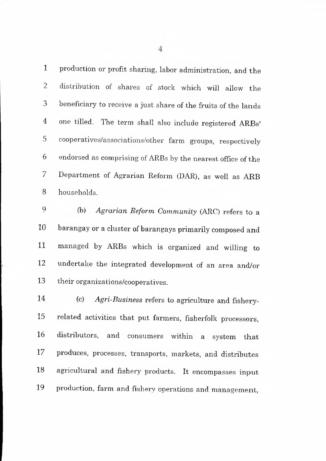production or profit sharing, labor administration, and the distribution of shares of stock which will allow the beneficiary to receive a just share of the fruits of the lands one tilled. The term shall also include registered ARBs' cooperatives/associations/other farm groups, respectively endorsed as comprising of ARBs by the nearest office of the Department of Agrarian Reform (DAR), as well as ARB households.

 (b) *Agrarian Reform Community* (ARC) refers to a barangay or a cluster of barangays primarily composed and managed by ARBs which is organized and willing to undertake the integrated development of an area and/or their organizations/cooperatives.

 (c) *Agri-Business* refers to agriculture and fishery- related activities that put farmers, fisherfolk processors, distributors, and consumers within a system that produces, processes, transports, markets, and distributes agricultural and fishery products. It encompasses input production, farm and fishery operations and management,

 $\overline{4}$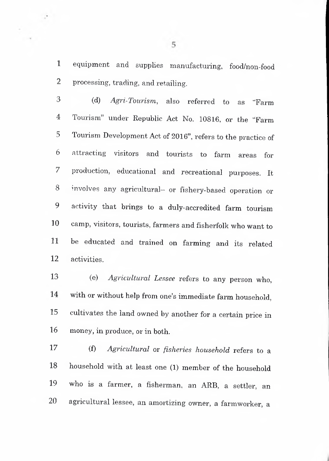equipment and supplies manufacturing, food/non-food processing, trading, and retailing.

 $\mathcal{L}$ 

 (d) *Agri-Tourism,* also referred to as "Farm Tourism" under Republic Act No. 10816, or the "Farm Tourism Development Act of 2016", refers to the practice of attracting visitors and tourists to farm areas for production, educational and recreational purposes. It involves any agricultural- or fishery-based operation or activity that brings to a duly-accredited farm tourism camp, visitors, tourists, farmers and fisherfolk who want to be educated and trained on farming and its related activities.

(e) *Agricultural Lessee* refers to any person who, with or without help from one's immediate farm household, cultivates the land owned by another for a certain price in money, in produce, or in both.

(f) *Agricultural* or *fisheries household* refers to a household with at least one (1) member of the household who is a farmer, a fisherman, an ARB, a settler, an 20 agricultural lessee, an amortizing owner, a farmworker, a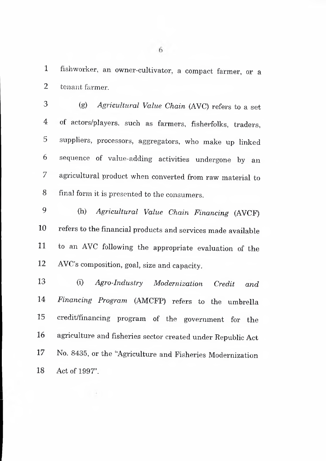fishworker, an owner-cultivator, a compact farmer, or a tenant farmer.

 (g) *Agricultural Value Chain* (AVC) refers to a set of actors/p]ayers, such as farmers, fisherfolks, traders, suppliers, processors, aggregators, who make up linked sequence of value-adding activities undergone by an agricultural product when converted from raw material to final form it is presented to the consumers.

 (h) *Agricultural Value Chain Financing* (AVCP) refers to the financial products and services made available to an AVC following the appropriate evaluation of the AVC's composition, goal, size and capacity.

(i) *Agro-Industry Modernization Credit and Financing Program* (AMCFP) refers to the umbrella credit/financing program of the government for the agriculture and fisheries sector created under Republic Act No. 8435, or the "Agriculture and Fisheries Modernization Act of 1997".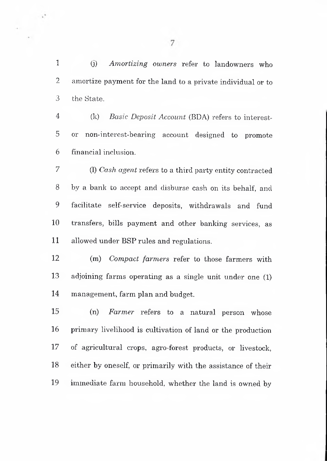(j) *Amortizing owners* refer to landowners who amortize payment for the land to a private individual or to the State.

 (k) *Basic Deposit Account* (BDA) refers to interest-5 or non-interest-bearing account designed to promote financial inclusion.

7 (1) *Cash agent* refers to a third party entity contracted 8 by a bank to accept and disburse cash on its behalf, and facilitate self-service deposits, withdrawals and fund transfers, bills payment and other banking services, as allowed under BSP rules and regulations.

 (m) *Compact farmers* refer to those farmers with adjoining farms operating as a single unit under one (1) management, farm plan and budget.

 (n) *Farmer* refers to a natural person whose primary livelihood is cultivation of land or the production of agricultural crops, agro-forest products, or livestock, either by oneself, or primarily with the assistance of their immediate farm household, whether the land is owned by

 $\overline{7}$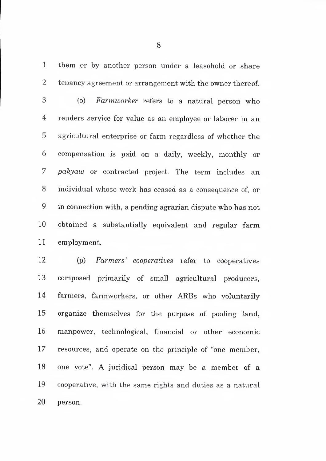them or by another person under a leasehold or share tenancy agreement or arrangement with the owner thereof.

 (o) *Farmworker* refers to a natural person who 4 renders service for value as an employee or laborer in an agricultural enterprise or farm regardless of whether the compensation is paid on a daily, weekly, monthly or *pakyaw* or contracted project. The term includes an individual whose work has ceased as a consequence of, or in connection with, a pending agrarian dispute who has not obtained a substantially equivalent and regular farm employment.

 (p) *Farmers' cooperatives* refer to cooperatives composed primarily of small agricultural producers, farmers, farmworkers, or other ARBs who voluntarily organize themselves for the purpose of pooling land, manpower, technological, financial or other economic resources, and operate on the principle of "one member, one vote". A juridical person may be a member of a cooperative, with the same rights and duties as a natural person.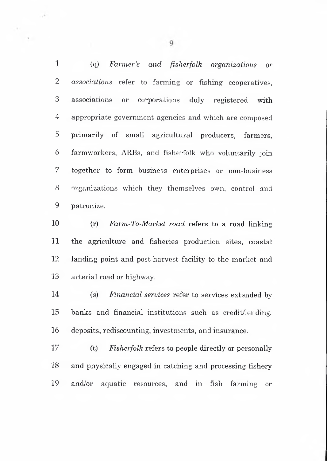(q) *Farmer's and fisherfolk organizations or associations* refer to farming or fishing cooperatives, associations or corporations duly registered with appropriate government agencies and which are composed primarily of small agricultural producers, farmers, farmworkers, ARBs, and fisherfolk who voluntarily join 7 together to form business enterprises or non-business organizations which they themselves own, control and patronize.

10 (r) *Farm-To-Market road* refers to a road linking the agriculture and fisheries production sites, coastal landing point and post-harvest facility to the market and arterial road or highway.

 (s) *Financial services* refer to services extended by banks and financial institutions such as credit/lending, deposits, rediscounting, investments, and insurance.

 (t) *Fisherfolk* refers to people directly or personally and physically engaged in catching and processing fishery and/or aquatic resources, and in fish farming or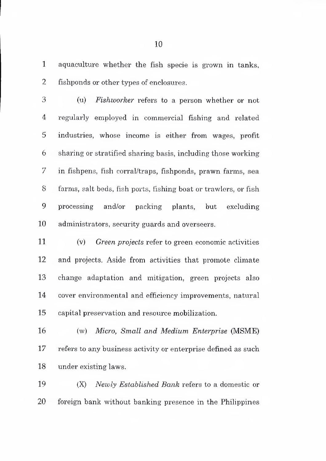aquaculture whether the fish specie is grown in tanks, fishponds or other types of enclosures.

 (u) *Fishworker* refers to a person whether or not regularly employed in commercial fishing and related 5 industries, whose income is either from wages, profit sharing or stratified sharing basis, including those working in fishpens, fish corral/traps, fishponds, prawn farms, sea farms, salt beds, fish ports, fishing boat or trawlers, or fish processing and/or packing plants, but excluding administrators, security guards and overseers.

 (v) *Green projects* refer to green economic activities and projects. Aside from activities that promote climate change adaptation and mitigation, green projects also 14 cover environmental and efficiency improvements, natural capital preservation and resource mobilization.

 (w) *Micro, Small and Medium Enterprise* (MSME) 17 refers to any business activity or enterprise defined as such under existing laws.

 (X) *Newly Established Bank* refers to a domestic or foreign bank without banking presence in the Philippines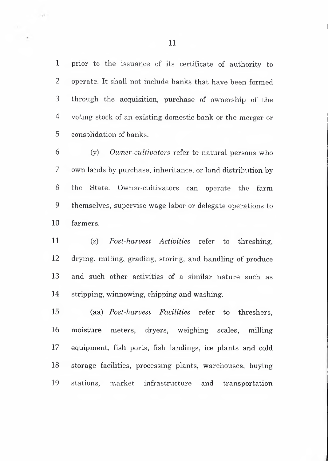prior to the issuance of its certificate of authority to operate. It shall not include banks that have been formed through the acquisition, purchase of ownership of the voting stock of an existing domestic bank or the merger or 5 consolidation of banks.

 (y) *Owner-cultivators* refer to natural persons who own lands by purchase, inheritance, or land distribution by the State. Owner-cultivators can operate the farm themselves, supervise wage labor or delegate operations to farmers.

 (z) *Post-harvest Activities* refer to threshing, drying, milling, grading, storing, and handling of produce and such other activities of a similar nature such as stripping, winnowing, chipping and washing.

 (aa) *Post-harvest Facilities* refer to threshers, moisture meters, dryers, weighing scales, milling 17 equipment, fish ports, fish landings, ice plants and cold storage facilities, processing plants, warehouses, buying stations, market infrastructure and transportation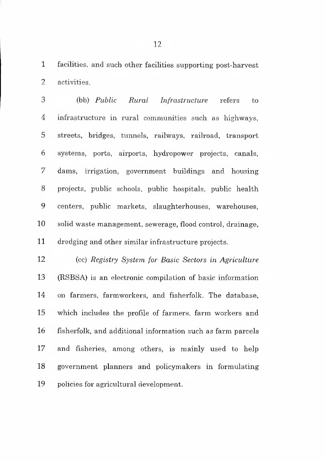facilities, and such other facilities supporting post-harvest activities.

3 (bb) *Public Rural Infrastructure* refers to infrastructure in rural communities such as highways, 5 streets, bridges, tunnels, railways, railroad, transport systems, ports, airports, hydropower projects, canals, 7 dams, irrigation, government buildings and housing projects, public schools, public hospitals, public health centers, public markets, slaughterhouses, warehouses, solid waste management, sewerage, flood control, drainage, dredging and other similar infrastructure projects.

 (cc) *Registry System for Basic Sectors in Agriculture* 13 (RSBSA) is an electronic compilation of basic information 14 on farmers, farmworkers, and fisherfolk. The database, which includes the profile of farmers, farm workers and fisherfolk, and additional information such as farm parcels and fisheries, among others, is mainly used to help government planners and policymakers in formulating policies for agricultural development.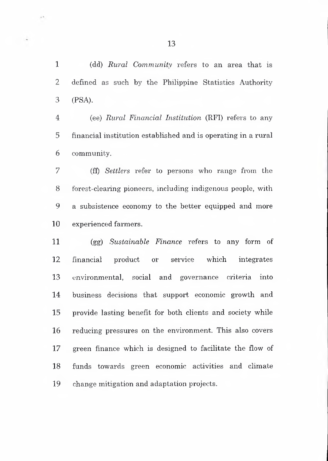(dd) *Rural Community* refers to an area that is 2 defined as such by the Philippine Statistics Authority 3 (PSA).

 (ee) *Rural Financial Institution* (RFI) refers to any financial institution established and is operating in a rural community.

7 (ff) *Settlers* refer to persons who range from the forest-clearing pioneers, including indigenous people, with a subsistence economy to the better equipped and more experienced farmers.

 (gg) *Sustainable Finance* refers to any form of financial product or service which integrates environmental, social and governance criteria into business decisions that support economic growth and provide lasting benefit for both clients and society while 16 reducing pressures on the environment. This also covers green finance which is designed to facilitate the flow of 18 funds towards green economic activities and climate change mitigation and adaptation projects.

 $\sim$  5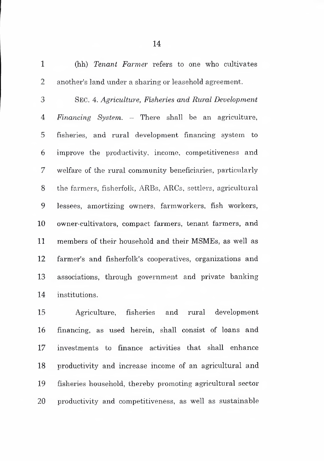(hh) *Tenant Farmer* refers to one who cultivates 2 another's land under a sharing or leasehold agreement.

Sec. 4. *Agriculture, Fisheries and Rural Development Financing System. -* There shall be an agriculture, fisheries, and rural development financing system to improve the productivity, income, competitiveness and welfare of the rural community beneficiaries, particularly the farmers, fisherfolk, ARBs, ARCs, settlers, agricultural lessees, amortizing owners, farmworkers, fish workers, owner-cultivators, compact farmers, tenant farmers, and members of their household and their MSMEs, as well as farmer's and fisherfolk's cooperatives, organizations and associations, through government and private banking institutions.

 Agriculture, fisheries and rural development financing, as used herein, shall consist of loans and investments to finance activities that shall enhance productivity and increase income of an agricultural and fisheries household, thereby promoting agricultural sector productivity and competitiveness, as well as sustainable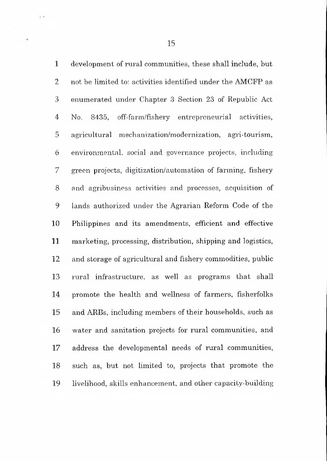development of rural communities, these shall include, but not be limited to; activities identified under the AMCFP as enumerated under Chapter 3 Section 23 of Republic Act 4 No. 8435, off-farm/fishery entrepreneurial activities, agricultural mechanization/modernization, agri-tourism, environmental, social and governance projects, including green projects, digitization/automation of farming, fishery and agribusiness activities and processes, acquisition of lands authorized under the Agrarian Reform Code of the Philippines and its amendments, efficient and effective marketing, processing, distribution, shipping and logistics, and storage of agricultural and fishery commodities, public rural infrastructure, as well as programs that shall 14 promote the health and wellness of farmers, fisherfolks and ARBs, including members of their households, such as water and sanitation projects for rural communities, and address the developmental needs of rural communities, 18 such as, but not limited to, projects that promote the livelihood, skills enhancement, and other capacity-building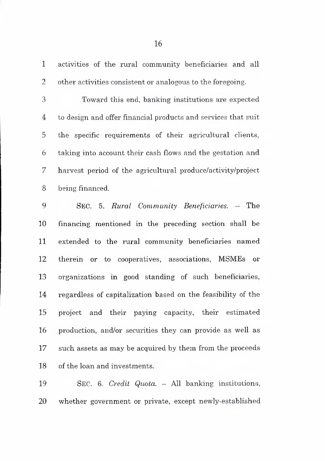activities of the rural community beneficiaries and all 2 other activities consistent or analogous to the foregoing.

 Toward this end, banking institutions are expected 4 to design and offer financial products and services that suit 5 the specific requirements of their agricultural clients, taking into account their cash flows and the gestation and harvest period of the agricultural produce/activity/project being financed.

 Sec. 5. *Rural Community Beneficiaries. —* The financing mentioned in the preceding section shall be extended to the rural community beneficiaries named 12 therein or to cooperatives, associations, MSMEs or organizations in good standing of such beneficiaries, regardless of capitalization based on the feasibility of the project and their paying capacity, their estimated production, and/or securities they can provide as well as such assets as may be acquired by them from the proceeds of the loan and investments.

 <sup>S</sup>ec. 6. *Credit Quota. -* All banking institutions. whether government or private, except newly-established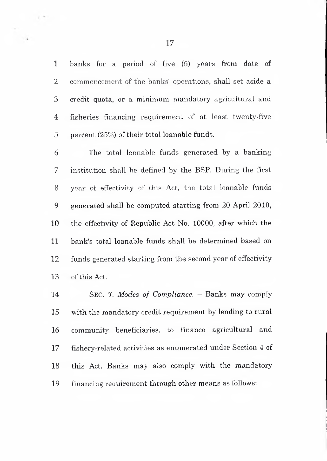banks for a period of five (5) years from date of 2 commencement of the banks' operations, shall set aside a credit quota, or a minimum mandatory agricultural and 4 fisheries financing requirement of at least twenty-five percent (25%) of their total loanable funds.

 The total loanable funds generated by a banking institution shall be defined by the BSP. During the first year of effectivity of this Act, the total loanable funds generated shall be computed starting from 20 April 2010, the effectivity of Republic Act No. 10000, after which the bank's total loanable funds shall be determined based on funds generated starting from the second year of effectivity of this Act.

 <sup>S</sup>ec. 7. *Modes of Compliance. -* Banks may comply with the mandatory credit requirement by lending to rural community beneficiaries, to finance agricultural and 17 fishery-related activities as enumerated under Section 4 of this Act. Banks may also comply with the mandatory financing requirement through other means as follows:

 $\mathbb{R}^n$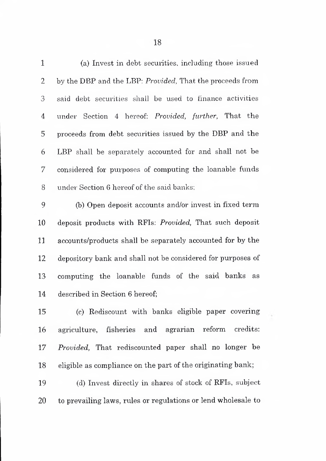| $\mathbf 1$    | (a) Invest in debt securities, including those issued       |
|----------------|-------------------------------------------------------------|
| $\overline{2}$ | by the DBP and the LBP: Provided, That the proceeds from    |
| 3              | said debt securities shall be used to finance activities    |
| 4              | under Section 4 hereof: Provided, further, That the         |
| 5              | proceeds from debt securities issued by the DBP and the     |
| 6              | LBP shall be separately accounted for and shall not be      |
| 7              | considered for purposes of computing the loanable funds     |
| 8              | under Section 6 hereof of the said banks;                   |
| 9              | (b) Open deposit accounts and/or invest in fixed term       |
| 10             | deposit products with RFIs: Provided, That such deposit     |
| 11             | accounts/products shall be separately accounted for by the  |
| 12             | depository bank and shall not be considered for purposes of |
| 13             | computing the loanable funds of the said banks as           |
| 14             | described in Section 6 hereof;                              |
| 15             | (c) Rediscount with banks eligible paper covering           |
| 16             | agriculture, fisheries and agrarian reform credits:         |
| 17             | Provided, That rediscounted paper shall no longer be        |
| 18             | eligible as compliance on the part of the originating bank; |

 (d) Invest directly in shares of stock of RFIs, subject to prevailing laws, rules or regulations or lend wholesale to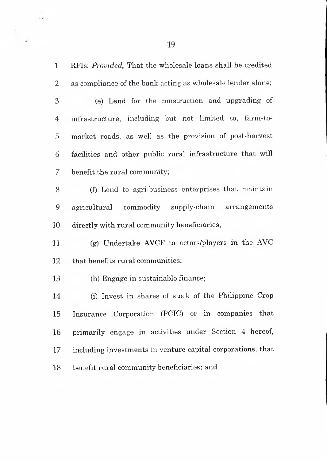RFIs: *Provided,* That the wholesale loans shall be credited as compliance of the bank acting as wholesale lender alone;

y.

 (e) Lend for the construction and upgrading of 4 infrastructure, including but not limited to, farm-to- market roads, as well as the provision of post-harvest facilities and other public rural infrastructure that will 7 benefit the rural community;

8 (f) Lend to agri-business enterprises that maintain 9 agricultural commodity supply-chain arrangements directly with rural community beneficiaries;

 (g) Undertake AVCF to actors/players in the AVC 12 that benefits rural communities;

(h) Engage in sustainable finance;

 (i) Invest in shares of stock of the Philippine Crop Insurance Corporation (PCIC) or in companies that primarily engage in activities under Section 4 hereof, including investments in venture capital corporations, that benefit rural community beneficiaries; and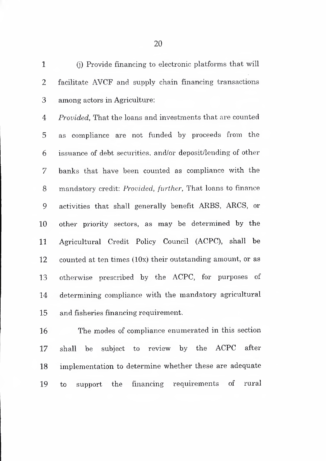(]) Provide financing to electronic platforms that will 2 facilitate AVCF and supply chain financing transactions 3 among actors in Agriculture;

 *Provided,* That the loans and investments that are counted as compliance are not funded by proceeds from the issuance of debt securities, and/or deposit/lending of other banks that have been counted as compliance with the mandatory credit: *Provided, further.* That loans to finance activities that shall generally benefit ARBS, ARCS, or other priority sectors, as may be determined by the Agricultural Credit Policy Council (ACPC), shall be counted at ten times (lOx) their outstanding amount, or as otherwise prescribed by the ACPC, for purposes of determining compliance with the mandatory agricultural and fisheries financing requirement.

 The modes of compliance enumerated in this section 17 shall be subject to review by the ACPC after implementation to determine whether these are adequate to support the financing requirements of rural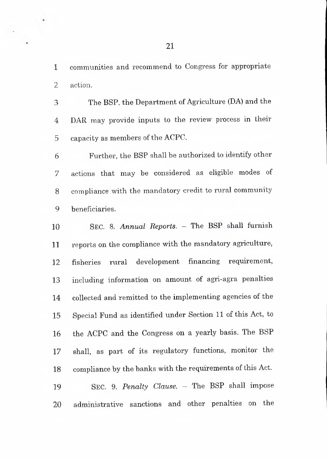communities and recommend to Congress for appropriate 2 action.

3 The BSP, the Department of Agriculture (DA) and the 4 DAR may provide inputs to the review process in their 5 capacity as members of the ACPC.

 Further, the BSP shall be authorized to identify other 7 actions that may be considered as eligible modes of compliance with the mandatory credit to rural community beneficiaries.

 <sup>S</sup>ec. 8. *Annual Reports. -* The BSP shall furnish reports on the compliance with the mandatory agriculture, fisheries rural development financing requirement, including information on amount of agri-agra penalties 14 collected and remitted to the implementing agencies of the Special Fund as identified under Section 11 of this Act, to the ACPC and the Congress on a yearly basis. The BSP 17 shall, as part of its regulatory functions, monitor the compliance by the banks with the requirements of this Act. <sup>S</sup>ec. 9. *Penalty Clause.* - The BSP shall impose 20 administrative sanctions and other penalties on the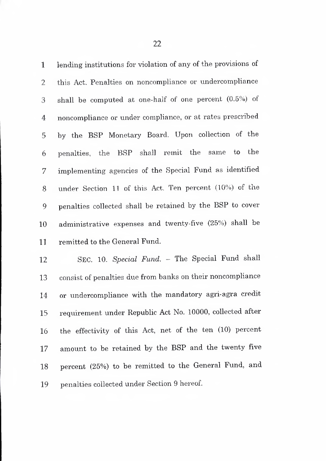lending institutions for violation of any of the provisions of this Act. Penalties on noncompliance or undercompliance shall be computed at one-half of one percent (0.5%) of noncompliance or under compliance, or at rates prescribed by the BSP Monetary Board. Upon collection of the penalties, the BSP shall remit the same to the implementing agencies of the Special Fund as identified under Section <sup>11</sup> of this Act. Ten percent (10%) of the penalties collected shall be retained by the BSP to cover administrative expenses and twenty-five (25%) shall be remitted to the General Fund.

 Sec. 10. *Special Fund. -* The Special Fund shall consist of penalties due from banks on their noncompliance or undercompliance with the mandatory agri-agra credit requirement under Republic Act No. 10000, collected after the effectivity of this Act, net of the ten (10) percent amount to be retained by the BSP and the twenty five percent (25%) to be remitted to the General Fund, and penalties collected under Section 9 hereof.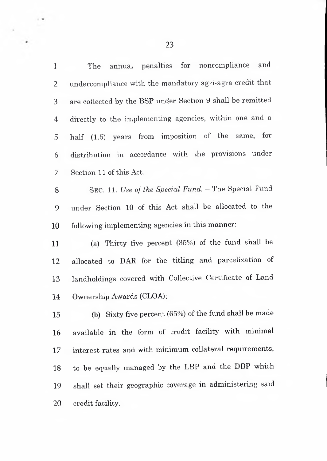The annual penalties for noncompliance and undercompliance with the mandatory agri-agra credit that are collected by the BSP under Section 9 shall be remitted directly to the implementing agencies, within one and a half (1.5) years from imposition of the same, for distribution in accordance with the provisions under Section 11 of this Act.

 Sec. 11. *Use of the Special Fund. -* The Special Fund under Section 10 of this Act shall be allocated to the following implementing agencies in this manner;

 (a) Thirty five percent (35%) of the fund shall be allocated to BAR for the titling and parcelization of landholdings covered with Collective Certificate of Land Ownership Awards (CLOA);

 (b) Sixty five percent (65%) of the fund shall be made available in the form of credit facility with minimal 17 interest rates and with minimum collateral requirements, to be equally managed by the LBP and the DBP which shall set their geographic coverage in administering said 20 credit facility.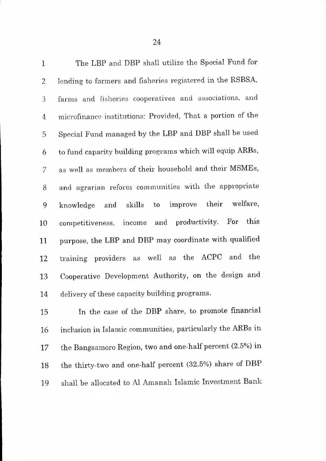| $\mathbf{1}$   | The LBP and DBP shall utilize the Special Fund for         |
|----------------|------------------------------------------------------------|
| 2              | lending to farmers and fisheries registered in the RSBSA,  |
| 3              | farms and fisheries cooperatives and associations, and     |
| $\overline{4}$ | microfinance institutions: Provided, That a portion of the |
| 5              | Special Fund managed by the LBP and DBP shall be used      |
| 6              | to fund capacity building programs which will equip ARBs,  |
| 7              | as well as members of their household and their MSMEs,     |
| 8              | and agrarian reform communities with the appropriate       |
| 9              | knowledge and skills to improve their welfare,             |
| 10             | and productivity. For this<br>competitiveness, income      |
| 11             | purpose, the LBP and DBP may coordinate with qualified     |
| 12             | training providers as well as the ACPC and the             |
| 13             | Cooperative Development Authority, on the design and       |
| 14             | delivery of these capacity building programs.              |
|                |                                                            |

 In the case of the DBP share, to promote financial inclusion in Islamic communities, particularly the ARBs in the Bangsamoro Region, two and one-half percent (2.5%) in the thirty-two and one-half percent (32.5%) share of DBP shall be allocated to A1 Amanah Islamic Investment Bank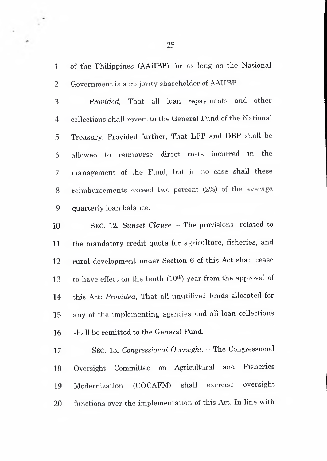of the Philippines (AAIIBP) for as long as the National Government is a majority shareholder of AAIIBP.

ċ

*Provided,* That all loan repayments and other collections shall revert to the General Fund of the National 5 Treasury: Provided further, That LBP and DBP shall be allowed to reimburse direct costs incurred in the 7 management of the Fund, but in no case shall these reimbursements exceed two percent (2%) of the average quarterly loan balance.

 <sup>S</sup>ec. 12. *Sunset Clause.* - The provisions related to the mandatory credit quota for agriculture, fisheries, and 12 rural development under Section 6 of this Act shall cease 13 to have effect on the tenth  $(10<sup>th</sup>)$  year from the approval of 14 this Act: *Provided,* That all unutilized funds allocated for 15 any of the implementing agencies and all loan collections shall be remitted to the General Fund.

 <sup>S</sup>ec. 13. *Congressional Oversight. -* The Congressional Oversight Committee on Agricultural and Fisheries Modernization (COCAFM) shall exercise oversight 20 functions over the implementation of this Act. In line with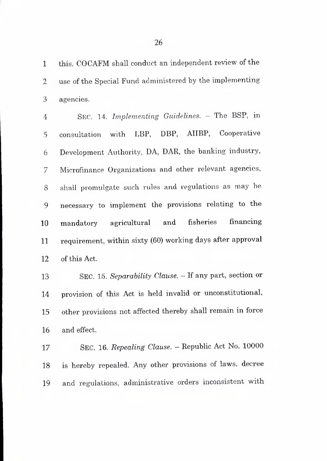this, COCAFM shall conduct an independent review of the use of the Special Fund administered by the implementing agencies.

 <sup>S</sup>ec. 14. *Implementing Guidelines. -* The BSP, in consultation with LBP, DBP, AIIBP, Cooperative Development Authority, DA, DAR, the banking industry, 7 Microfinance Organizations and other relevant agencies, shall promulgate such rules and regulations as may be necessary to implement the provisions relating to the mandatory agricultural and fisheries financing requirement, within sixty (60) working days after approval of this Act.

 <sup>S</sup>ec. 15. *Separability Clause. -* If any part, section or provision of this Act is held invalid or unconstitutional, other provisions not affected thereby shall remain in force and effect.

 <sup>S</sup>ec. 16. *Repealing Clause. -* Republic Act No. <sup>10000</sup> is hereby repealed. Any other provisions of laws, decree and regulations, administrative orders inconsistent with